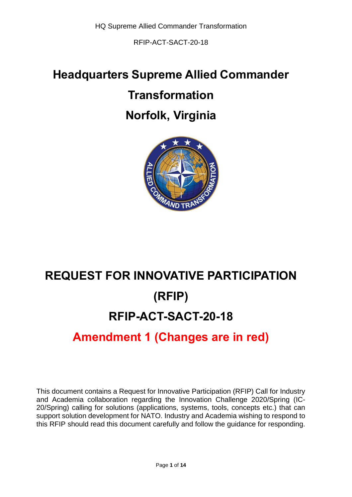RFIP-ACT-SACT-20-18

# **Headquarters Supreme Allied Commander Transformation**

## **Norfolk, Virginia**



# **REQUEST FOR INNOVATIVE PARTICIPATION (RFIP) RFIP-ACT-SACT-20-18 Amendment 1 (Changes are in red)**

This document contains a Request for Innovative Participation (RFIP) Call for Industry and Academia collaboration regarding the Innovation Challenge 2020/Spring (IC-20/Spring) calling for solutions (applications, systems, tools, concepts etc.) that can support solution development for NATO. Industry and Academia wishing to respond to this RFIP should read this document carefully and follow the guidance for responding.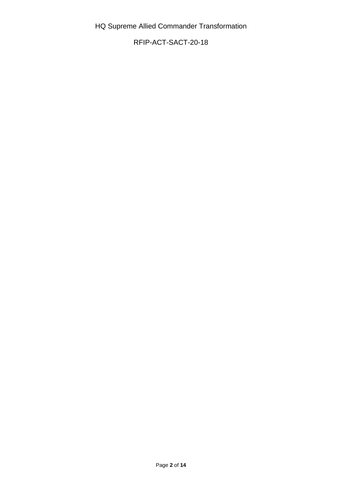RFIP-ACT-SACT-20-18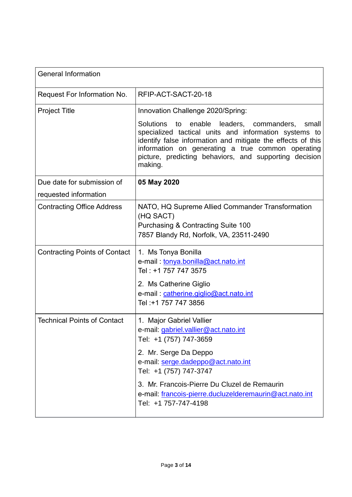| <b>General Information</b>           |                                                                                                                                                                                                                                                                                                        |
|--------------------------------------|--------------------------------------------------------------------------------------------------------------------------------------------------------------------------------------------------------------------------------------------------------------------------------------------------------|
| Request For Information No.          | RFIP-ACT-SACT-20-18                                                                                                                                                                                                                                                                                    |
| <b>Project Title</b>                 | Innovation Challenge 2020/Spring:                                                                                                                                                                                                                                                                      |
|                                      | Solutions to<br>enable leaders, commanders,<br>small<br>specialized tactical units and information systems to<br>identify false information and mitigate the effects of this<br>information on generating a true common operating<br>picture, predicting behaviors, and supporting decision<br>making. |
| Due date for submission of           | 05 May 2020                                                                                                                                                                                                                                                                                            |
| requested information                |                                                                                                                                                                                                                                                                                                        |
| <b>Contracting Office Address</b>    | NATO, HQ Supreme Allied Commander Transformation<br>(HQ SACT)<br>Purchasing & Contracting Suite 100<br>7857 Blandy Rd, Norfolk, VA, 23511-2490                                                                                                                                                         |
| <b>Contracting Points of Contact</b> | 1. Ms Tonya Bonilla<br>e-mail: tonya.bonilla@act.nato.int<br>Tel: +1 757 747 3575                                                                                                                                                                                                                      |
|                                      | 2. Ms Catherine Giglio<br>e-mail: catherine.giglio@act.nato.int<br>Tel: +1 757 747 3856                                                                                                                                                                                                                |
| <b>Technical Points of Contact</b>   | 1. Major Gabriel Vallier<br>e-mail: gabriel.vallier@act.nato.int<br>Tel: +1 (757) 747-3659                                                                                                                                                                                                             |
|                                      | 2. Mr. Serge Da Deppo<br>e-mail: serge.dadeppo@act.nato.int<br>Tel: +1 (757) 747-3747                                                                                                                                                                                                                  |
|                                      | 3. Mr. Francois-Pierre Du Cluzel de Remaurin<br>e-mail: francois-pierre.ducluzelderemaurin@act.nato.int<br>Tel: +1 757-747-4198                                                                                                                                                                        |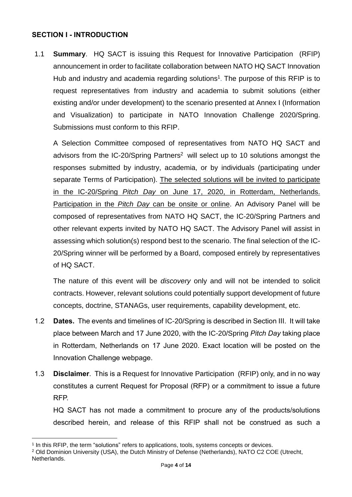#### **SECTION I - INTRODUCTION**

1.1 **Summary**. HQ SACT is issuing this Request for Innovative Participation (RFIP) announcement in order to facilitate collaboration between NATO HQ SACT Innovation Hub and industry and academia regarding solutions<sup>1</sup>. The purpose of this RFIP is to request representatives from industry and academia to submit solutions (either existing and/or under development) to the scenario presented at Annex I (Information and Visualization) to participate in NATO Innovation Challenge 2020/Spring. Submissions must conform to this RFIP.

A Selection Committee composed of representatives from NATO HQ SACT and advisors from the IC-20/Spring Partners<sup>2</sup> will select up to 10 solutions amongst the responses submitted by industry, academia, or by individuals (participating under separate Terms of Participation). The selected solutions will be invited to participate in the IC-20/Spring *Pitch Day* on June 17, 2020, in Rotterdam, Netherlands. Participation in the *Pitch Day* can be onsite or online. An Advisory Panel will be composed of representatives from NATO HQ SACT, the IC-20/Spring Partners and other relevant experts invited by NATO HQ SACT. The Advisory Panel will assist in assessing which solution(s) respond best to the scenario. The final selection of the IC-20/Spring winner will be performed by a Board, composed entirely by representatives of HQ SACT.

The nature of this event will be *discovery* only and will not be intended to solicit contracts. However, relevant solutions could potentially support development of future concepts, doctrine, STANAGs, user requirements, capability development, etc.

- 1.2 **Dates.** The events and timelines of IC-20/Spring is described in Section III. It will take place between March and 17 June 2020, with the IC-20/Spring *Pitch Day* taking place in Rotterdam, Netherlands on 17 June 2020. Exact location will be posted on the Innovation Challenge webpage.
- 1.3 **Disclaimer**. This is a Request for Innovative Participation (RFIP) only, and in no way constitutes a current Request for Proposal (RFP) or a commitment to issue a future RFP.

HQ SACT has not made a commitment to procure any of the products/solutions described herein, and release of this RFIP shall not be construed as such a

Netherlands.

 $\overline{a}$ 1 In this RFIP, the term "solutions" refers to applications, tools, systems concepts or devices.

<sup>2</sup> Old Dominion University (USA), the Dutch Ministry of Defense (Netherlands), NATO C2 COE (Utrecht,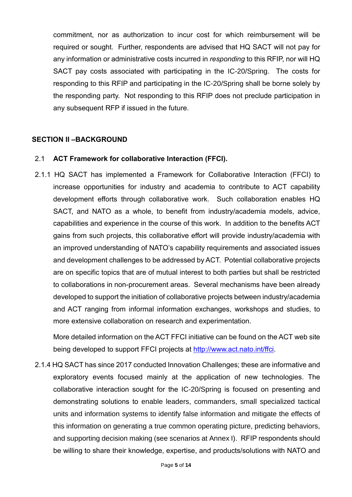commitment, nor as authorization to incur cost for which reimbursement will be required or sought. Further, respondents are advised that HQ SACT will not pay for any information or administrative costs incurred in *responding* to this RFIP, nor will HQ SACT pay costs associated with participating in the IC-20/Spring. The costs for responding to this RFIP and participating in the IC-20/Spring shall be borne solely by the responding party. Not responding to this RFIP does not preclude participation in any subsequent RFP if issued in the future.

#### **SECTION II –BACKGROUND**

#### 2.1 **ACT Framework for collaborative Interaction (FFCI).**

2.1.1 HQ SACT has implemented a Framework for Collaborative Interaction (FFCI) to increase opportunities for industry and academia to contribute to ACT capability development efforts through collaborative work. Such collaboration enables HQ SACT, and NATO as a whole, to benefit from industry/academia models, advice, capabilities and experience in the course of this work. In addition to the benefits ACT gains from such projects, this collaborative effort will provide industry/academia with an improved understanding of NATO's capability requirements and associated issues and development challenges to be addressed by ACT. Potential collaborative projects are on specific topics that are of mutual interest to both parties but shall be restricted to collaborations in non-procurement areas. Several mechanisms have been already developed to support the initiation of collaborative projects between industry/academia and ACT ranging from informal information exchanges, workshops and studies, to more extensive collaboration on research and experimentation.

More detailed information on the ACT FFCI initiative can be found on the ACT web site being developed to support FFCI projects at [http://www.act.nato.int/ffci.](http://www.act.nato.int/ffci)

2.1.4 HQ SACT has since 2017 conducted Innovation Challenges; these are informative and exploratory events focused mainly at the application of new technologies. The collaborative interaction sought for the IC-20/Spring is focused on presenting and demonstrating solutions to enable leaders, commanders, small specialized tactical units and information systems to identify false information and mitigate the effects of this information on generating a true common operating picture, predicting behaviors, and supporting decision making (see scenarios at Annex I). RFIP respondents should be willing to share their knowledge, expertise, and products/solutions with NATO and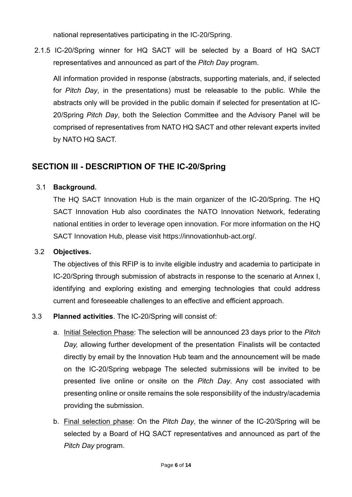national representatives participating in the IC-20/Spring.

2.1.5 IC-20/Spring winner for HQ SACT will be selected by a Board of HQ SACT representatives and announced as part of the *Pitch Day* program.

All information provided in response (abstracts, supporting materials, and, if selected for *Pitch Day*, in the presentations) must be releasable to the public. While the abstracts only will be provided in the public domain if selected for presentation at IC-20/Spring *Pitch Day*, both the Selection Committee and the Advisory Panel will be comprised of representatives from NATO HQ SACT and other relevant experts invited by NATO HQ SACT.

## **SECTION III - DESCRIPTION OF THE IC-20/Spring**

#### 3.1 **Background.**

The HQ SACT Innovation Hub is the main organizer of the IC-20/Spring. The HQ SACT Innovation Hub also coordinates the NATO Innovation Network, federating national entities in order to leverage open innovation. For more information on the HQ SACT Innovation Hub, please visit https://innovationhub-act.org/.

#### 3.2 **Objectives.**

The objectives of this RFIP is to invite eligible industry and academia to participate in IC-20/Spring through submission of abstracts in response to the scenario at Annex I, identifying and exploring existing and emerging technologies that could address current and foreseeable challenges to an effective and efficient approach.

#### 3.3 **Planned activities**. The IC-20/Spring will consist of:

- a. Initial Selection Phase: The selection will be announced 23 days prior to the *Pitch Day,* allowing further development of the presentation Finalists will be contacted directly by email by the Innovation Hub team and the announcement will be made on the IC-20/Spring webpage The selected submissions will be invited to be presented live online or onsite on the *Pitch Day*. Any cost associated with presenting online or onsite remains the sole responsibility of the industry/academia providing the submission.
- b. Final selection phase: On the *Pitch Day*, the winner of the IC-20/Spring will be selected by a Board of HQ SACT representatives and announced as part of the *Pitch Day* program.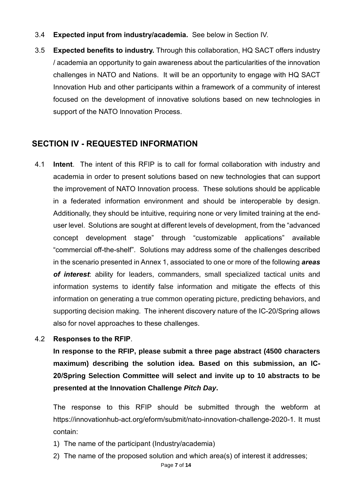- 3.4 **Expected input from industry/academia.** See below in Section IV.
- 3.5 **Expected benefits to industry.** Through this collaboration, HQ SACT offers industry / academia an opportunity to gain awareness about the particularities of the innovation challenges in NATO and Nations. It will be an opportunity to engage with HQ SACT Innovation Hub and other participants within a framework of a community of interest focused on the development of innovative solutions based on new technologies in support of the NATO Innovation Process.

### **SECTION IV - REQUESTED INFORMATION**

- 4.1 **Intent**. The intent of this RFIP is to call for formal collaboration with industry and academia in order to present solutions based on new technologies that can support the improvement of NATO Innovation process. These solutions should be applicable in a federated information environment and should be interoperable by design. Additionally, they should be intuitive, requiring none or very limited training at the enduser level. Solutions are sought at different levels of development, from the "advanced concept development stage" through "customizable applications" available "commercial off-the-shelf". Solutions may address some of the challenges described in the scenario presented in Annex 1, associated to one or more of the following *areas of interest*: ability for leaders, commanders, small specialized tactical units and information systems to identify false information and mitigate the effects of this information on generating a true common operating picture, predicting behaviors, and supporting decision making. The inherent discovery nature of the IC-20/Spring allows also for novel approaches to these challenges.
- 4.2 **Responses to the RFIP**.

**In response to the RFIP, please submit a three page abstract (4500 characters maximum) describing the solution idea. Based on this submission, an IC-20/Spring Selection Committee will select and invite up to 10 abstracts to be presented at the Innovation Challenge** *Pitch Day***.**

The response to this RFIP should be submitted through the webform at https://innovationhub-act.org/eform/submit/nato-innovation-challenge-2020-1. It must contain:

- 1) The name of the participant (Industry/academia)
- 2) The name of the proposed solution and which area(s) of interest it addresses;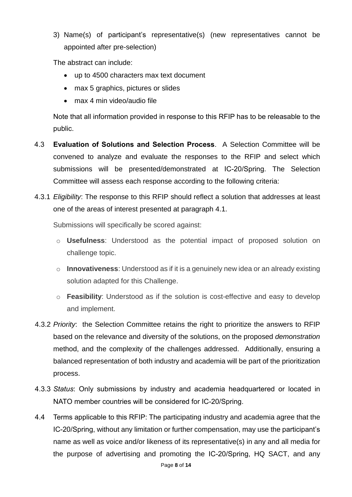3) Name(s) of participant's representative(s) (new representatives cannot be appointed after pre-selection)

The abstract can include:

- up to 4500 characters max text document
- max 5 graphics, pictures or slides
- max 4 min video/audio file

Note that all information provided in response to this RFIP has to be releasable to the public.

- 4.3 **Evaluation of Solutions and Selection Process**. A Selection Committee will be convened to analyze and evaluate the responses to the RFIP and select which submissions will be presented/demonstrated at IC-20/Spring. The Selection Committee will assess each response according to the following criteria:
- 4.3.1 *Eligibility*: The response to this RFIP should reflect a solution that addresses at least one of the areas of interest presented at paragraph 4.1.

Submissions will specifically be scored against:

- o **Usefulness**: Understood as the potential impact of proposed solution on challenge topic.
- o **Innovativeness**: Understood as if it is a genuinely new idea or an already existing solution adapted for this Challenge.
- o **Feasibility**: Understood as if the solution is cost-effective and easy to develop and implement.
- 4.3.2 *Priority*: the Selection Committee retains the right to prioritize the answers to RFIP based on the relevance and diversity of the solutions, on the proposed *demonstration* method, and the complexity of the challenges addressed. Additionally, ensuring a balanced representation of both industry and academia will be part of the prioritization process.
- 4.3.3 *Status*: Only submissions by industry and academia headquartered or located in NATO member countries will be considered for IC-20/Spring.
- 4.4 Terms applicable to this RFIP: The participating industry and academia agree that the IC-20/Spring, without any limitation or further compensation, may use the participant's name as well as voice and/or likeness of its representative(s) in any and all media for the purpose of advertising and promoting the IC-20/Spring, HQ SACT, and any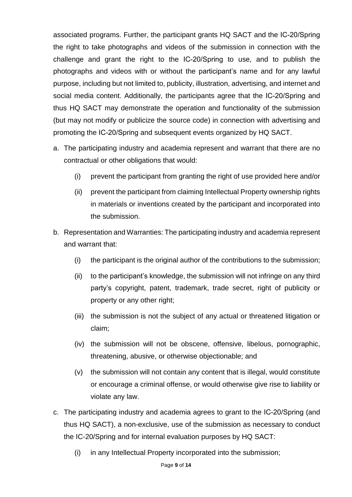associated programs. Further, the participant grants HQ SACT and the IC-20/Spring the right to take photographs and videos of the submission in connection with the challenge and grant the right to the IC-20/Spring to use, and to publish the photographs and videos with or without the participant's name and for any lawful purpose, including but not limited to, publicity, illustration, advertising, and internet and social media content. Additionally, the participants agree that the IC-20/Spring and thus HQ SACT may demonstrate the operation and functionality of the submission (but may not modify or publicize the source code) in connection with advertising and promoting the IC-20/Spring and subsequent events organized by HQ SACT.

- a. The participating industry and academia represent and warrant that there are no contractual or other obligations that would:
	- (i) prevent the participant from granting the right of use provided here and/or
	- (ii) prevent the participant from claiming Intellectual Property ownership rights in materials or inventions created by the participant and incorporated into the submission.
- b. Representation and Warranties: The participating industry and academia represent and warrant that:
	- (i) the participant is the original author of the contributions to the submission;
	- (ii) to the participant's knowledge, the submission will not infringe on any third party's copyright, patent, trademark, trade secret, right of publicity or property or any other right;
	- (iii) the submission is not the subject of any actual or threatened litigation or claim;
	- (iv) the submission will not be obscene, offensive, libelous, pornographic, threatening, abusive, or otherwise objectionable; and
	- (v) the submission will not contain any content that is illegal, would constitute or encourage a criminal offense, or would otherwise give rise to liability or violate any law.
- c. The participating industry and academia agrees to grant to the IC-20/Spring (and thus HQ SACT), a non-exclusive, use of the submission as necessary to conduct the IC-20/Spring and for internal evaluation purposes by HQ SACT:
	- (i) in any Intellectual Property incorporated into the submission;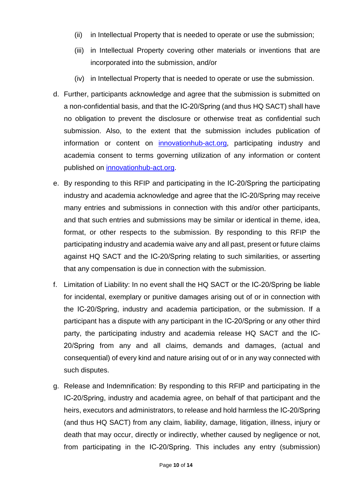- (ii) in Intellectual Property that is needed to operate or use the submission;
- (iii) in Intellectual Property covering other materials or inventions that are incorporated into the submission, and/or
- (iv) in Intellectual Property that is needed to operate or use the submission.
- d. Further, participants acknowledge and agree that the submission is submitted on a non-confidential basis, and that the IC-20/Spring (and thus HQ SACT) shall have no obligation to prevent the disclosure or otherwise treat as confidential such submission. Also, to the extent that the submission includes publication of information or content on [innovationhub-act.org,](https://www.innovationhub-act.org/) participating industry and academia consent to terms governing utilization of any information or content published on [innovationhub-act.org.](https://www.innovationhub-act.org/)
- e. By responding to this RFIP and participating in the IC-20/Spring the participating industry and academia acknowledge and agree that the IC-20/Spring may receive many entries and submissions in connection with this and/or other participants, and that such entries and submissions may be similar or identical in theme, idea, format, or other respects to the submission. By responding to this RFIP the participating industry and academia waive any and all past, present or future claims against HQ SACT and the IC-20/Spring relating to such similarities, or asserting that any compensation is due in connection with the submission.
- f. Limitation of Liability: In no event shall the HQ SACT or the IC-20/Spring be liable for incidental, exemplary or punitive damages arising out of or in connection with the IC-20/Spring, industry and academia participation, or the submission. If a participant has a dispute with any participant in the IC-20/Spring or any other third party, the participating industry and academia release HQ SACT and the IC-20/Spring from any and all claims, demands and damages, (actual and consequential) of every kind and nature arising out of or in any way connected with such disputes.
- g. Release and Indemnification: By responding to this RFIP and participating in the IC-20/Spring, industry and academia agree, on behalf of that participant and the heirs, executors and administrators, to release and hold harmless the IC-20/Spring (and thus HQ SACT) from any claim, liability, damage, litigation, illness, injury or death that may occur, directly or indirectly, whether caused by negligence or not, from participating in the IC-20/Spring. This includes any entry (submission)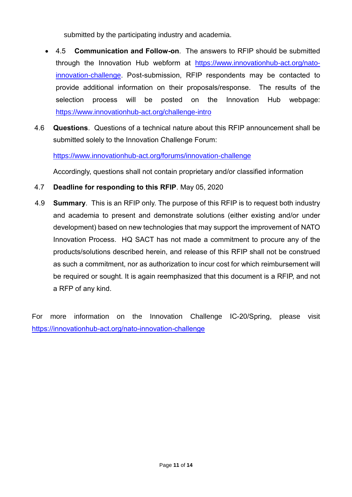submitted by the participating industry and academia.

- 4.5 **Communication and Follow-on**. The answers to RFIP should be submitted through the Innovation Hub webform at [https://www.innovationhub-act.org/nato](https://www.innovationhub-act.org/nato-innovation-challenge)[innovation-challenge.](https://www.innovationhub-act.org/nato-innovation-challenge) Post-submission, RFIP respondents may be contacted to provide additional information on their proposals/response. The results of the selection process will be posted on the Innovation Hub webpage: <https://www.innovationhub-act.org/challenge-intro>
- 4.6 **Questions**. Questions of a technical nature about this RFIP announcement shall be submitted solely to the Innovation Challenge Forum:

<https://www.innovationhub-act.org/forums/innovation-challenge>

Accordingly, questions shall not contain proprietary and/or classified information

- 4.7 **Deadline for responding to this RFIP**. May 05, 2020
- 4.9 **Summary**. This is an RFIP only. The purpose of this RFIP is to request both industry and academia to present and demonstrate solutions (either existing and/or under development) based on new technologies that may support the improvement of NATO Innovation Process. HQ SACT has not made a commitment to procure any of the products/solutions described herein, and release of this RFIP shall not be construed as such a commitment, nor as authorization to incur cost for which reimbursement will be required or sought. It is again reemphasized that this document is a RFIP, and not a RFP of any kind.

For more information on the Innovation Challenge IC-20/Spring, please visit <https://innovationhub-act.org/nato-innovation-challenge>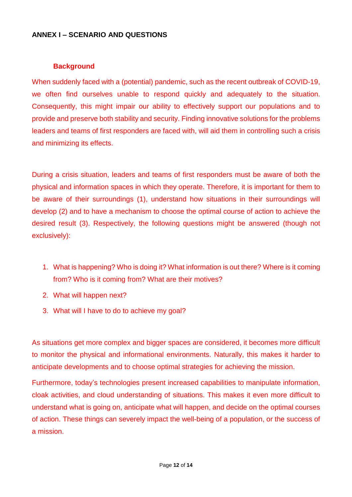#### **ANNEX I – SCENARIO AND QUESTIONS**

#### **Background**

When suddenly faced with a (potential) pandemic, such as the recent outbreak of COVID-19, we often find ourselves unable to respond quickly and adequately to the situation. Consequently, this might impair our ability to effectively support our populations and to provide and preserve both stability and security. Finding innovative solutions for the problems leaders and teams of first responders are faced with, will aid them in controlling such a crisis and minimizing its effects.

During a crisis situation, leaders and teams of first responders must be aware of both the physical and information spaces in which they operate. Therefore, it is important for them to be aware of their surroundings (1), understand how situations in their surroundings will develop (2) and to have a mechanism to choose the optimal course of action to achieve the desired result (3). Respectively, the following questions might be answered (though not exclusively):

- 1. What is happening? Who is doing it? What information is out there? Where is it coming from? Who is it coming from? What are their motives?
- 2. What will happen next?
- 3. What will I have to do to achieve my goal?

As situations get more complex and bigger spaces are considered, it becomes more difficult to monitor the physical and informational environments. Naturally, this makes it harder to anticipate developments and to choose optimal strategies for achieving the mission.

Furthermore, today's technologies present increased capabilities to manipulate information, cloak activities, and cloud understanding of situations. This makes it even more difficult to understand what is going on, anticipate what will happen, and decide on the optimal courses of action. These things can severely impact the well-being of a population, or the success of a mission.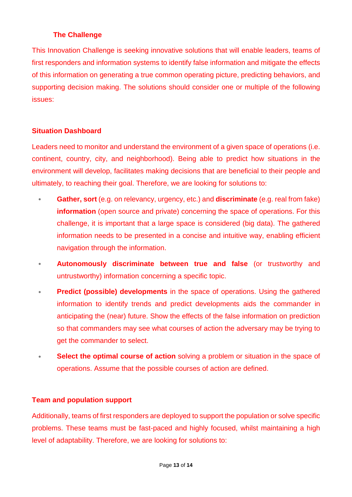#### **The Challenge**

This Innovation Challenge is seeking innovative solutions that will enable leaders, teams of first responders and information systems to identify false information and mitigate the effects of this information on generating a true common operating picture, predicting behaviors, and supporting decision making. The solutions should consider one or multiple of the following issues:

#### **Situation Dashboard**

Leaders need to monitor and understand the environment of a given space of operations (i.e. continent, country, city, and neighborhood). Being able to predict how situations in the environment will develop, facilitates making decisions that are beneficial to their people and ultimately, to reaching their goal. Therefore, we are looking for solutions to:

- **• Gather, sort** (e.g. on relevancy, urgency, etc.) and **discriminate** (e.g. real from fake) **information** (open source and private) concerning the space of operations. For this challenge, it is important that a large space is considered (big data). The gathered information needs to be presented in a concise and intuitive way, enabling efficient navigation through the information.
- **• Autonomously discriminate between true and false** (or trustworthy and untrustworthy) information concerning a specific topic.
- **• Predict (possible) developments** in the space of operations. Using the gathered information to identify trends and predict developments aids the commander in anticipating the (near) future. Show the effects of the false information on prediction so that commanders may see what courses of action the adversary may be trying to get the commander to select.
- **• Select the optimal course of action** solving a problem or situation in the space of operations. Assume that the possible courses of action are defined.

#### **Team and population support**

Additionally, teams of first responders are deployed to support the population or solve specific problems. These teams must be fast-paced and highly focused, whilst maintaining a high level of adaptability. Therefore, we are looking for solutions to: